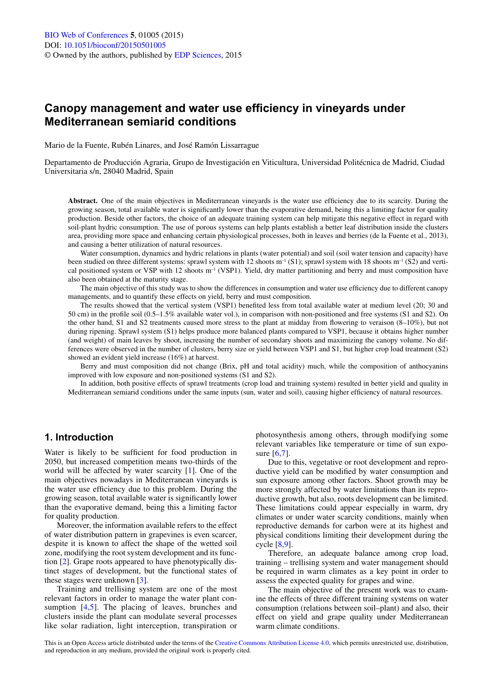# **Canopy management and water use efficiency in vineyards under Mediterranean semiarid conditions**

Mario de la Fuente, Rubén Linares, and José Ramón Lissarrague

Departamento de Producción Agraria, Grupo de Investigación en Viticultura, Universidad Politécnica de Madrid, Ciudad Universitaria s/n, 28040 Madrid, Spain

Abstract. One of the main objectives in Mediterranean vineyards is the water use efficiency due to its scarcity. During the growing season, total available water is significantly lower than the evaporative demand, being this a limiting factor for quality production. Beside other factors, the choice of an adequate training system can help mitigate this negative effect in regard with soil-plant hydric consumption. The use of porous systems can help plants establish a better leaf distribution inside the clusters area, providing more space and enhancing certain physiological processes, both in leaves and berries (de la Fuente et al., 2013), and causing a better utilization of natural resources.

Water consumption, dynamics and hydric relations in plants (water potential) and soil (soil water tension and capacity) have been studied on three different systems: sprawl system with 12 shoots  $m^{-1} (S1)$ ; sprawl system with 18 shoots  $m^{-1} (S2)$  and vertical positioned system or VSP with 12 shoots m<sup>-1</sup> (VSP1). Yield, dry matter partitioning and berry and must composition have also been obtained at the maturity stage.

The main objective of this study was to show the differences in consumption and water use efficiency due to different canopy managements, and to quantify these effects on yield, berry and must composition.

The results showed that the vertical system (VSP1) benefited less from total available water at medium level (20; 30 and 50 cm) in the profile soil (0.5–1.5% available water vol.), in comparison with non-positioned and free systems (S1 and S2). On the other hand, S1 and S2 treatments caused more stress to the plant at midday from flowering to veraison (8–10%), but not during ripening. Sprawl system (S1) helps produce more balanced plants compared to VSP1, because it obtains higher number (and weight) of main leaves by shoot, increasing the number of secondary shoots and maximizing the canopy volume. No differences were observed in the number of clusters, berry size or yield between VSP1 and S1, but higher crop load treatment (S2) showed an evident yield increase (16%) at harvest.

Berry and must composition did not change (Brix, pH and total acidity) much, while the composition of anthocyanins improved with low exposure and non-positioned systems (S1 and S2).

In addition, both positive effects of sprawl treatments (crop load and training system) resulted in better yield and quality in Mediterranean semiarid conditions under the same inputs (sun, water and soil), causing higher efficiency of natural resources.

# **1. Introduction**

Water is likely to be sufficient for food production in 2050, but increased competition means two-thirds of the world will be affected by water scarcity [[1\]](#page-4-0). One of the main objectives nowadays in Mediterranean vineyards is the water use efficiency due to this problem. During the growing season, total available water is significantly lower than the evaporative demand, being this a limiting factor for quality production.

Moreover, the information available refers to the effect of water distribution pattern in grapevines is even scarcer, despite it is known to affect the shape of the wetted soil zone, modifying the root system development and its function [\[2](#page-4-1)]. Grape roots appeared to have phenotypically distinct stages of development, but the functional states of these stages were unknown [[3\]](#page-5-4).

Training and trellising system are one of the most relevant factors in order to manage the water plant con-sumption [[4,](#page-5-5)[5\]](#page-5-6). The placing of leaves, brunches and clusters inside the plant can modulate several processes like solar radiation, light interception, transpiration or photosynthesis among others, through modifying some relevant variables like temperature or time of sun exposure [\[6](#page-5-0),[7](#page-5-1)].

Due to this, vegetative or root development and reproductive yield can be modified by water consumption and sun exposure among other factors. Shoot growth may be more strongly affected by water limitations than its reproductive growth, but also, roots development can be limited. These limitations could appear especially in warm, dry climates or under water scarcity conditions, mainly when reproductive demands for carbon were at its highest and physical conditions limiting their development during the cycle [[8](#page-5-2)[,9](#page-5-3)].

Therefore, an adequate balance among crop load, training – trellising system and water management should be required in warm climates as a key point in order to assess the expected quality for grapes and wine.

The main objective of the present work was to examine the effects of three different training systems on water consumption (relations between soil–plant) and also, their effect on yield and grape quality under Mediterranean warm climate conditions.

This is an Open Access article distributed under the terms of the [Creative Commons Attribution License 4.0](http://creativecommons.org/licenses/by/4.0/), which permits unrestricted use, distribution, and reproduction in any medium, provided the original work is properly cited.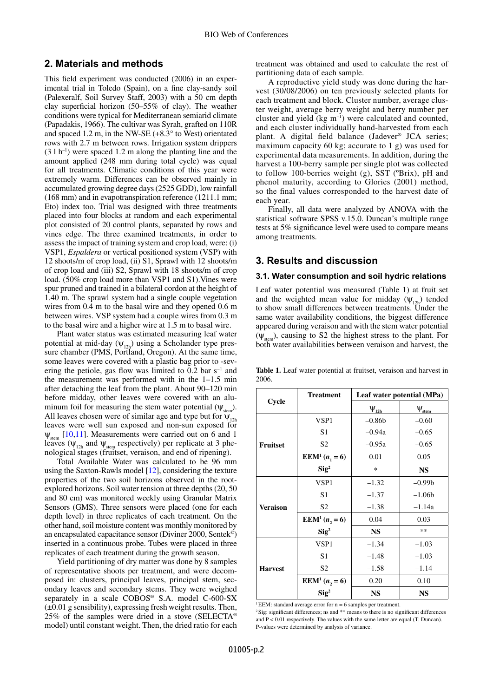# **2. Materials and methods**

This field experiment was conducted (2006) in an experimental trial in Toledo (Spain), on a fine clay-sandy soil (Palexeralf, Soil Survey Staff, 2003) with a 50 cm depth clay superficial horizon (50–55% of clay). The weather conditions were typical for Mediterranean semiarid climate (Papadakis, 1966). The cultivar was Syrah, grafted on 110R and spaced 1.2 m, in the NW-SE (+8.3° to West) orientated rows with 2.7 m between rows. Irrigation system drippers  $(3 \ 1 \ h^{-1})$  were spaced 1.2 m along the planting line and the amount applied (248 mm during total cycle) was equal for all treatments. Climatic conditions of this year were extremely warm. Differences can be observed mainly in accumulated growing degree days (2525 GDD), low rainfall (168 mm) and in evapotranspiration reference (1211.1 mm; Eto) index too. Trial was designed with three treatments placed into four blocks at random and each experimental plot consisted of 20 control plants, separated by rows and vines edge. The three examined treatments, in order to assess the impact of training system and crop load, were: (i) VSP1, *Espaldera* or vertical positioned system (VSP) with 12 shoots/m of crop load, (ii) S1, Sprawl with 12 shoots/m of crop load and (iii) S2, Sprawl with 18 shoots/m of crop load. (50% crop load more than VSP1 and S1).Vines were spur pruned and trained in a bilateral cordon at the height of 1.40 m. The sprawl system had a single couple vegetation wires from 0.4 m to the basal wire and they opened 0.6 m between wires. VSP system had a couple wires from 0.3 m to the basal wire and a higher wire at 1.5 m to basal wire.

Plant water status was estimated measuring leaf water potential at mid-day  $(\psi_{12h})$  using a Scholander type pressure chamber (PMS, Portland, Oregon). At the same time, some leaves were covered with a plastic bag prior to -severing the petiole, gas flow was limited to 0.2 bar s<sup>-1</sup> and the measurement was performed with in the 1–1.5 min after detaching the leaf from the plant. About 90–120 min before midday, other leaves were covered with an aluminum foil for measuring the stem water potential  $(\Psi_{\text{stan}})$ . All leaves chosen were of similar age and type but for  $\psi_{12h}$ leaves were well sun exposed and non-sun exposed for  $\Psi_{\text{stem}}$  [\[10](#page-5-7),[11\]](#page-5-8). Measurements were carried out on 6 and 1 leaves ( $\psi_{12h}$  and  $\psi_{\text{stem}}$  respectively) per replicate at 3 phenological stages (fruitset, veraison, and end of ripening).

Total Available Water was calculated to be 96 mm using the Saxton-Rawls model [\[12\]](#page-5-9), considering the texture properties of the two soil horizons observed in the rootexplored horizons. Soil water tension at three depths (20, 50 and 80 cm) was monitored weekly using Granular Matrix Sensors (GMS). Three sensors were placed (one for each depth level) in three replicates of each treatment. On the other hand, soil moisture content was monthly monitored by an encapsulated capacitance sensor (Diviner 2000, Sentek©) inserted in a continuous probe. Tubes were placed in three replicates of each treatment during the growth season.

Yield partitioning of dry matter was done by 8 samples of representative shoots per treatment, and were decomposed in: clusters, principal leaves, principal stem, secondary leaves and secondary stems. They were weighed separately in a scale COBOS® S.A. model C-600-SX (±0.01 g sensibility), expressing fresh weight results. Then, 25% of the samples were dried in a stove (SELECTA® model) until constant weight. Then, the dried ratio for each

treatment was obtained and used to calculate the rest of partitioning data of each sample.

A reproductive yield study was done during the harvest (30/08/2006) on ten previously selected plants for each treatment and block. Cluster number, average cluster weight, average berry weight and berry number per cluster and yield  $(kg m^{-1})$  were calculated and counted, and each cluster individually hand-harvested from each plant. A digital field balance (Jadever® JCA series; maximum capacity 60 kg; accurate to 1 g) was used for experimental data measurements. In addition, during the harvest a 100-berry sample per single plot was collected to follow 100-berries weight (g), SST (ºBrix), pH and phenol maturity, according to Glories (2001) method, so the final values corresponded to the harvest date of each year.

Finally, all data were analyzed by ANOVA with the statistical software SPSS v.15.0. Duncan's multiple range tests at 5% significance level were used to compare means among treatments.

### **3. Results and discussion**

#### **3.1. Water consumption and soil hydric relations**

Leaf water potential was measured (Table 1) at fruit set and the weighted mean value for midday  $(\psi_{12h})$  tended to show small differences between treatments. Under the same water availability conditions, the biggest difference appeared during veraison and with the stem water potential  $(\psi_{\text{stem}})$ , causing to S2 the highest stress to the plant. For both water availabilities between veraison and harvest, the

|                 | <b>Treatment</b>                      | Leaf water potential (MPa) |                      |  |
|-----------------|---------------------------------------|----------------------------|----------------------|--|
| Cycle           |                                       | $\Psi_{12h}$               | $\Psi_{\text{stem}}$ |  |
|                 | VSP1                                  | $-0.86b$                   | $-0.60$              |  |
|                 | S1                                    | $-0.94a$                   | $-0.65$              |  |
| <b>Fruitset</b> | S <sub>2</sub>                        | $-0.95a$                   | $-0.65$              |  |
|                 | <b>EEM</b> <sup>1</sup> ( $n_1 = 6$ ) | 0.01                       | 0.05                 |  |
|                 | $\text{Sig}^2$                        | $\ast$                     | <b>NS</b>            |  |
| <b>Veraison</b> | VSP1                                  | $-1.32$                    | $-0.99b$             |  |
|                 | S1                                    | $-1.37$                    | $-1.06b$             |  |
|                 | S <sub>2</sub>                        | $-1.38$                    | $-1.14a$             |  |
|                 | EEM <sup>1</sup> $(n, = 6)$           | 0.04                       | 0.03                 |  |
|                 | $\text{Sig}^2$                        | <b>NS</b>                  | **                   |  |
|                 | VSP1                                  | $-1.34$                    | $-1.03$              |  |
| <b>Harvest</b>  | S <sub>1</sub>                        | $-1.48$                    | $-1.03$              |  |
|                 | S <sub>2</sub>                        | $-1.58$                    | $-1.14$              |  |
|                 | EEM <sup>1</sup> $(n, = 6)$           | 0.20                       | 0.10                 |  |
|                 | $\text{Sig}^2$                        | <b>NS</b>                  | <b>NS</b>            |  |

**Table 1.** Leaf water potential at fruitset, veraison and harvest in 2006.

 $1$  EEM: standard average error for  $n = 6$  samples per treatment.

 $2$  Sig: significant differences; ns and  $**$  means to there is no significant differences and  $P < 0.01$  respectively. The values with the same letter are equal (T. Duncan). P-values were determined by analysis of variance.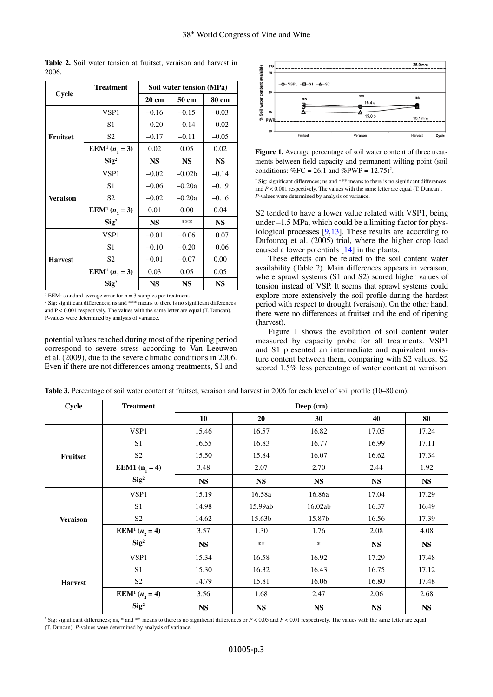|                 | <b>Treatment</b>                   | Soil water tension (MPa) |           |           |
|-----------------|------------------------------------|--------------------------|-----------|-----------|
| Cycle           |                                    | $20 \text{ cm}$          | 50 cm     | 80 cm     |
|                 | VSP1                               | $-0.16$                  | $-0.15$   | $-0.03$   |
|                 | S <sub>1</sub>                     | $-0.20$                  | $-0.14$   | $-0.02$   |
| <b>Fruitset</b> | S <sub>2</sub>                     | $-0.17$                  | $-0.11$   | $-0.05$   |
|                 | <b>EEM<sup>1</sup></b> $(n_1 = 3)$ | 0.02                     | 0.05      | 0.02      |
|                 | $\text{Sig}^2$                     | <b>NS</b>                | <b>NS</b> | <b>NS</b> |
|                 | VSP1                               | $-0.02$                  | $-0.02b$  | $-0.14$   |
| Veraison        | S <sub>1</sub>                     | $-0.06$                  | $-0.20a$  | $-0.19$   |
|                 | S <sub>2</sub>                     | $-0.02$                  | $-0.20a$  | $-0.16$   |
|                 | EEM <sup>1</sup> $(n, = 3)$        | 0.01                     | 0.00      | 0.04      |
|                 | $\text{Sig}^2$                     | <b>NS</b>                | ***       | <b>NS</b> |
|                 | VSP1                               | $-0.01$                  | $-0.06$   | $-0.07$   |
| <b>Harvest</b>  | S <sub>1</sub>                     | $-0.10$                  | $-0.20$   | $-0.06$   |
|                 | S <sub>2</sub>                     | $-0.01$                  | $-0.07$   | 0.00      |
|                 | EEM <sup>1</sup> $(n, = 3)$        | 0.03                     | 0.05      | 0.05      |
|                 | $\text{Sig}^2$                     | <b>NS</b>                | <b>NS</b> | <b>NS</b> |

**Table 2.** Soil water tension at fruitset, veraison and harvest in 2006.

 $<sup>1</sup> EEM$ : standard average error for  $n = 3$  samples per treatment.</sup>

<sup>2</sup> Sig: significant differences; ns and \*\*\* means to there is no significant differences and  $P < 0.001$  respectively. The values with the same letter are equal (T. Duncan). P-values were determined by analysis of variance.

potential values reached during most of the ripening period correspond to severe stress according to Van Leeuwen et al. (2009), due to the severe climatic conditions in 2006. Even if there are not differences among treatments, S1 and



**Figure 1.** Average percentage of soil water content of three treatments between field capacity and permanent wilting point (soil conditions:  $\%FC = 26.1$  and  $\%PWP = 12.75$ <sup>2</sup>.

2 Sig: significant differences; ns and \*\*\* means to there is no significant differences and  $P < 0.001$  respectively. The values with the same letter are equal (T. Duncan). *P*-values were determined by analysis of variance.

S2 tended to have a lower value related with VSP1, being under –1.5 MPa, which could be a limiting factor for physiological processes [\[9](#page-5-3),[13\]](#page-5-10). These results are according to Dufourcq et al. (2005) trial, where the higher crop load caused a lower potentials [\[14](#page-5-11)] in the plants.

These effects can be related to the soil content water availability (Table 2). Main differences appears in veraison, where sprawl systems (S1 and S2) scored higher values of tension instead of VSP. It seems that sprawl systems could explore more extensively the soil profile during the hardest period with respect to drought (veraison). On the other hand, there were no differences at fruitset and the end of ripening (harvest).

Figure 1 shows the evolution of soil content water measured by capacity probe for all treatments. VSP1 and S1 presented an intermediate and equivalent moisture content between them, comparing with S2 values. S2 scored 1.5% less percentage of water content at veraison.

| Cycle           | <b>Treatment</b>                    | Deep (cm) |           |               |           |           |  |
|-----------------|-------------------------------------|-----------|-----------|---------------|-----------|-----------|--|
|                 |                                     | 10        | 20        | 30            | 40        | 80        |  |
|                 | VSP1                                | 15.46     | 16.57     | 16.82         | 17.05     | 17.24     |  |
|                 | S <sub>1</sub>                      | 16.55     | 16.83     | 16.77         | 16.99     | 17.11     |  |
| Fruitset        | S <sub>2</sub>                      | 15.50     | 15.84     | 16.07         | 16.62     | 17.34     |  |
|                 | <b>EEM1</b> $(n_1 = 4)$             | 3.48      | 2.07      | 2.70          | 2.44      | 1.92      |  |
|                 | $\text{Sig}^2$                      | <b>NS</b> | <b>NS</b> | $\mathbf{NS}$ | <b>NS</b> | <b>NS</b> |  |
|                 | VSP1                                | 15.19     | 16.58a    | 16.86a        | 17.04     | 17.29     |  |
| <b>Veraison</b> | S <sub>1</sub>                      | 14.98     | 15.99ab   | 16.02ab       | 16.37     | 16.49     |  |
|                 | $\ensuremath{\mathrm{S2}}$          | 14.62     | 15.63b    | 15.87b        | 16.56     | 17.39     |  |
|                 | <b>EEM</b> <sup>1</sup> $(n_2 = 4)$ | 3.57      | 1.30      | 1.76          | 2.08      | 4.08      |  |
|                 | $\text{Sig}^2$                      | <b>NS</b> | $***$     | $\ast$        | <b>NS</b> | <b>NS</b> |  |
| <b>Harvest</b>  | VSP1                                | 15.34     | 16.58     | 16.92         | 17.29     | 17.48     |  |
|                 | S <sub>1</sub>                      | 15.30     | 16.32     | 16.43         | 16.75     | 17.12     |  |
|                 | S <sub>2</sub>                      | 14.79     | 15.81     | 16.06         | 16.80     | 17.48     |  |
|                 | <b>EEM</b> <sup>1</sup> $(n_2 = 4)$ | 3.56      | 1.68      | 2.47          | 2.06      | 2.68      |  |
|                 | $\text{Sig}^2$                      | <b>NS</b> | <b>NS</b> | <b>NS</b>     | <b>NS</b> | <b>NS</b> |  |

Table 3. Percentage of soil water content at fruitset, veraison and harvest in 2006 for each level of soil profile (10–80 cm).

<sup>2</sup> Sig: significant differences; ns, \* and \*\* means to there is no significant differences or  $P < 0.05$  and  $P < 0.01$  respectively. The values with the same letter are equal (T. Duncan). *P*-values were determined by analysis of variance.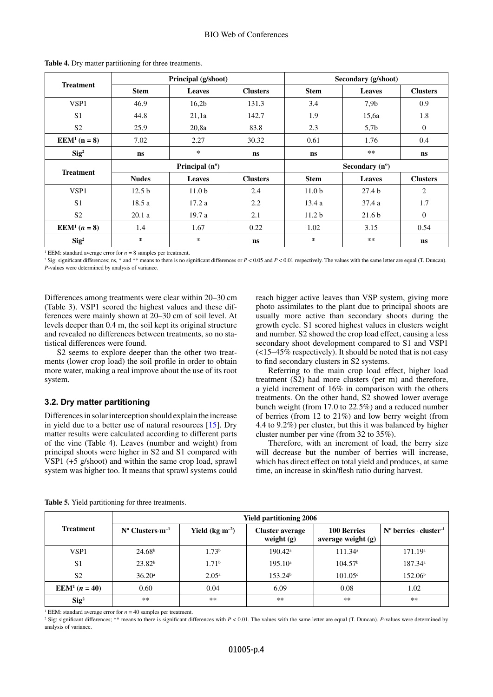|                                    |                         | Principal (g/shoot) |                 | Secondary (g/shoot)     |                   |                 |
|------------------------------------|-------------------------|---------------------|-----------------|-------------------------|-------------------|-----------------|
| <b>Treatment</b>                   | <b>Stem</b>             | <b>Leaves</b>       | <b>Clusters</b> | <b>Stem</b>             | <b>Leaves</b>     | <b>Clusters</b> |
| VSP1                               | 46.9                    | 16,2b               | 131.3           | 3.4                     | 7.9 <sub>b</sub>  | 0.9             |
| S <sub>1</sub>                     | 44.8                    | 21,1a               | 142.7           | 1.9                     | 15,6a             | 1.8             |
| S <sub>2</sub>                     | 25.9                    | 20,8a               | 83.8            | 2.3                     | 5,7b              | $\overline{0}$  |
| <b>EEM<sup>1</sup></b> ( $n = 8$ ) | 7.02                    | 2.27                | 30.32           | 0.61                    | 1.76              | 0.4             |
| $\text{Sig}^2$                     | ns                      | *                   | ns              | ns                      | **                | <b>ns</b>       |
| <b>Treatment</b>                   | Principal $(n^{\circ})$ |                     |                 | Secondary $(n^{\circ})$ |                   |                 |
|                                    | <b>Nudes</b>            | Leaves              | <b>Clusters</b> | <b>Stem</b>             | <b>Leaves</b>     | <b>Clusters</b> |
| VSP1                               | 12.5 <sub>b</sub>       | 11.0 <sub>b</sub>   | 2.4             | 11.0 <sub>b</sub>       | 27.4 <sub>b</sub> | 2               |
| S <sub>1</sub>                     | 18.5a                   | 17.2a               | 2.2             | 13.4a                   | 37.4a             | 1.7             |
| S <sub>2</sub>                     | 20.1a                   | 19.7a               | 2.1             | 11.2 <sub>b</sub>       | 21.6 <sub>b</sub> | $\mathbf{0}$    |
| <b>EEM</b> <sup>1</sup> $(n = 8)$  | 1.4                     | 1.67                | 0.22            | 1.02                    | 3.15              | 0.54            |
| $\text{Sig}^2$                     | *                       | *                   | ns              | *                       | $**$              | ns              |

**Table 4.** Dry matter partitioning for three treatments.

<sup>1</sup> EEM: standard average error for  $n = 8$  samples per treatment.

<sup>2</sup> Sig: significant differences; ns, \* and \*\* means to there is no significant differences or  $P < 0.05$  and  $P < 0.01$  respectively. The values with the same letter are equal (T. Duncan). *P*-values were determined by analysis of variance.

Differences among treatments were clear within 20–30 cm (Table 3). VSP1 scored the highest values and these differences were mainly shown at 20–30 cm of soil level. At levels deeper than 0.4 m, the soil kept its original structure and revealed no differences between treatments, so no statistical differences were found.

S2 seems to explore deeper than the other two treatments (lower crop load) the soil profile in order to obtain more water, making a real improve about the use of its root system.

### **3.2. Dry matter partitioning**

Differences in solar interception should explain the increase in yield due to a better use of natural resources [[15\]](#page-5-12). Dry matter results were calculated according to different parts of the vine (Table 4). Leaves (number and weight) from principal shoots were higher in S2 and S1 compared with VSP1 (+5 g/shoot) and within the same crop load, sprawl system was higher too. It means that sprawl systems could reach bigger active leaves than VSP system, giving more photo assimilates to the plant due to principal shoots are usually more active than secondary shoots during the growth cycle. S1 scored highest values in clusters weight and number. S2 showed the crop load effect, causing a less secondary shoot development compared to S1 and VSP1 (<15–45% respectively). It should be noted that is not easy to find secondary clusters in S2 systems.

Referring to the main crop load effect, higher load treatment (S2) had more clusters (per m) and therefore, a yield increment of 16% in comparison with the others treatments. On the other hand, S2 showed lower average bunch weight (from 17.0 to 22.5%) and a reduced number of berries (from 12 to 21%) and low berry weight (from 4.4 to 9.2%) per cluster, but this it was balanced by higher cluster number per vine (from 32 to 35%).

Therefore, with an increment of load, the berry size will decrease but the number of berries will increase, which has direct effect on total yield and produces, at same time, an increase in skin/flesh ratio during harvest.

|                                   | <b>Yield partitioning 2006</b> |                   |                                        |                                            |                                             |  |  |
|-----------------------------------|--------------------------------|-------------------|----------------------------------------|--------------------------------------------|---------------------------------------------|--|--|
| <b>Treatment</b>                  | $N^{\circ}$ Clusters $m^{-1}$  | Yield $(kg·m-2)$  | <b>Cluster average</b><br>weight $(g)$ | <b>100 Berries</b><br>average weight $(g)$ | $N^{\circ}$ berries · cluster <sup>-1</sup> |  |  |
| VSP1                              | 24.68 <sup>b</sup>             | 1.73 <sup>b</sup> | $190.42^{\text{a}}$                    | 111.34 <sup>a</sup>                        | 171.19 <sup>a</sup>                         |  |  |
| S <sub>1</sub>                    | 23.82 <sup>b</sup>             | 1.71 <sup>b</sup> | $195.10^{\circ}$                       | 104.57 <sup>b</sup>                        | 187.34 <sup>a</sup>                         |  |  |
| S <sub>2</sub>                    | 36.20a                         | $2.05^{\rm a}$    | 153.24 <sup>b</sup>                    | $101.05^{\circ}$                           | 152.06 <sup>b</sup>                         |  |  |
| EEM <sup>1</sup> ( <i>n</i> = 40) | 0.60                           | 0.04              | 6.09                                   | 0.08                                       | 1.02                                        |  |  |
| $\text{Sig}^2$                    | $**$                           | $**$              | $**$                                   | $**$                                       | $**$                                        |  |  |

**Table 5.** Yield partitioning for three treatments.

<sup>1</sup> EEM: standard average error for  $n = 40$  samples per treatment.

<sup>2</sup> Sig: significant differences; \*\* means to there is significant differences with *P* < 0.01. The values with the same letter are equal (T. Duncan). *P*-values were determined by analysis of variance.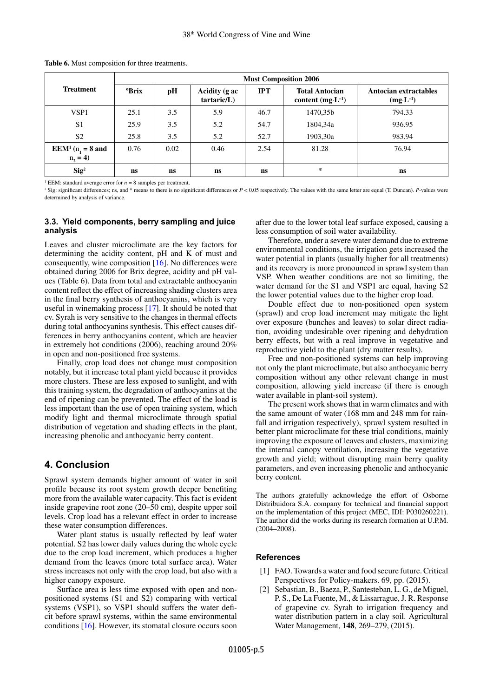|                                                     | <b>Must Composition 2006</b> |           |                             |            |                                                      |                                              |
|-----------------------------------------------------|------------------------------|-----------|-----------------------------|------------|------------------------------------------------------|----------------------------------------------|
| <b>Treatment</b>                                    | <b>PErix</b>                 | pH        | Acidity (g ac<br>tartaric/L | <b>IPT</b> | <b>Total Antocian</b><br>content $(mg \cdot L^{-1})$ | Antocian extractables<br>$(mg \cdot L^{-1})$ |
| VSP <sub>1</sub>                                    | 25.1                         | 3.5       | 5.9                         | 46.7       | 1470.35b                                             | 794.33                                       |
| S <sub>1</sub>                                      | 25.9                         | 3.5       | 5.2                         | 54.7       | 1804,34a                                             | 936.95                                       |
| S <sub>2</sub>                                      | 25.8                         | 3.5       | 5.2                         | 52.7       | 1903,30a                                             | 983.94                                       |
| <b>EEM<sup>1</sup></b> ( $n_1 = 8$ and<br>$n_2 = 4$ | 0.76                         | 0.02      | 0.46                        | 2.54       | 81.28                                                | 76.94                                        |
| $\text{Sig}^2$                                      | ns                           | <b>ns</b> | ns                          | ns         | ∗                                                    | <b>ns</b>                                    |

**Table 6.** Must composition for three treatments.

<sup>1</sup> EEM: standard average error for  $n = 8$  samples per treatment.

<sup>2</sup> Sig: significant differences; ns, and  $*$  means to there is no significant differences or  $P < 0.05$  respectively. The values with the same letter are equal (T. Duncan). *P*-values were determined by analysis of variance.

#### **3.3. Yield components, berry sampling and juice analysis**

Leaves and cluster microclimate are the key factors for determining the acidity content, pH and K of must and consequently, wine composition [[16\]](#page-5-13). No differences were obtained during 2006 for Brix degree, acidity and pH values (Table 6). Data from total and extractable anthocyanin content reflect the effect of increasing shading clusters area in the final berry synthesis of anthocyanins, which is very useful in winemaking process [[17\]](#page-5-14). It should be noted that cv. Syrah is very sensitive to the changes in thermal effects during total anthocyanins synthesis. This effect causes differences in berry anthocyanins content, which are heavier in extremely hot conditions (2006), reaching around 20% in open and non-positioned free systems.

Finally, crop load does not change must composition notably, but it increase total plant yield because it provides more clusters. These are less exposed to sunlight, and with this training system, the degradation of anthocyanins at the end of ripening can be prevented. The effect of the load is less important than the use of open training system, which modify light and thermal microclimate through spatial distribution of vegetation and shading effects in the plant, increasing phenolic and anthocyanic berry content.

### **4. Conclusion**

Sprawl system demands higher amount of water in soil profile because its root system growth deeper benefiting more from the available water capacity. This fact is evident inside grapevine root zone (20–50 cm), despite upper soil levels. Crop load has a relevant effect in order to increase these water consumption differences.

Water plant status is usually reflected by leaf water potential. S2 has lower daily values during the whole cycle due to the crop load increment, which produces a higher demand from the leaves (more total surface area). Water stress increases not only with the crop load, but also with a higher canopy exposure.

Surface area is less time exposed with open and nonpositioned systems (S1 and S2) comparing with vertical systems (VSP1), so VSP1 should suffers the water deficit before sprawl systems, within the same environmental conditions [\[16](#page-5-13)]. However, its stomatal closure occurs soon

after due to the lower total leaf surface exposed, causing a less consumption of soil water availability.

Therefore, under a severe water demand due to extreme environmental conditions, the irrigation gets increased the water potential in plants (usually higher for all treatments) and its recovery is more pronounced in sprawl system than VSP. When weather conditions are not so limiting, the water demand for the S1 and VSP1 are equal, having S2 the lower potential values due to the higher crop load.

Double effect due to non-positioned open system (sprawl) and crop load increment may mitigate the light over exposure (bunches and leaves) to solar direct radiation, avoiding undesirable over ripening and dehydration berry effects, but with a real improve in vegetative and reproductive yield to the plant (dry matter results).

Free and non-positioned systems can help improving not only the plant microclimate, but also anthocyanic berry composition without any other relevant change in must composition, allowing yield increase (if there is enough water available in plant-soil system).

The present work shows that in warm climates and with the same amount of water (168 mm and 248 mm for rainfall and irrigation respectively), sprawl system resulted in better plant microclimate for these trial conditions, mainly improving the exposure of leaves and clusters, maximizing the internal canopy ventilation, increasing the vegetative growth and yield; without disrupting main berry quality parameters, and even increasing phenolic and anthocyanic berry content.

The authors gratefully acknowledge the effort of Osborne Distribuidora S.A. company for technical and financial support on the implementation of this project (MEC, IDI: P030260221). The author did the works during its research formation at U.P.M. (2004–2008).

#### **References**

- <span id="page-4-0"></span>[1] FAO. Towards a water and food secure future. Critical Perspectives for Policy-makers. 69, pp. (2015).
- <span id="page-4-1"></span>[2] Sebastian, B., Baeza, P., Santesteban, L. G., de Miguel, P. S., De La Fuente, M., & Lissarrague, J. R. Response of grapevine cv. Syrah to irrigation frequency and water distribution pattern in a clay soil. Agricultural Water Management, **148**, 269–279, (2015).